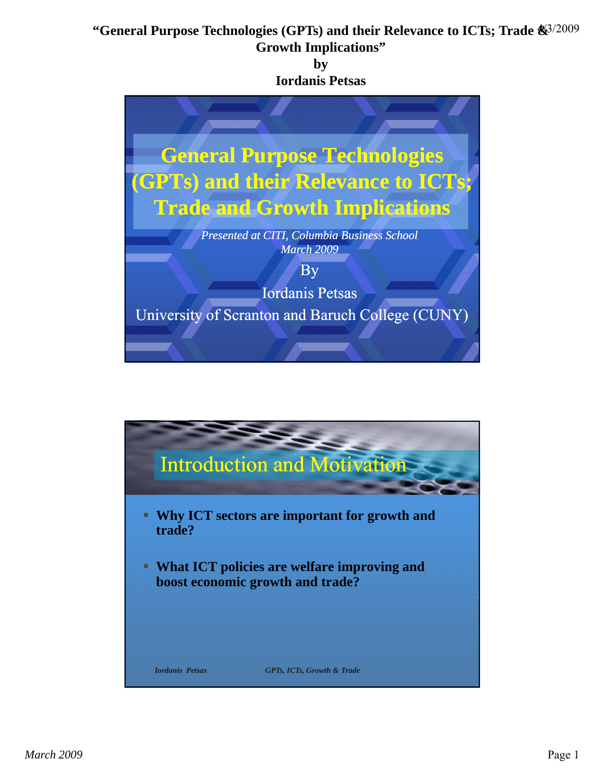**by**



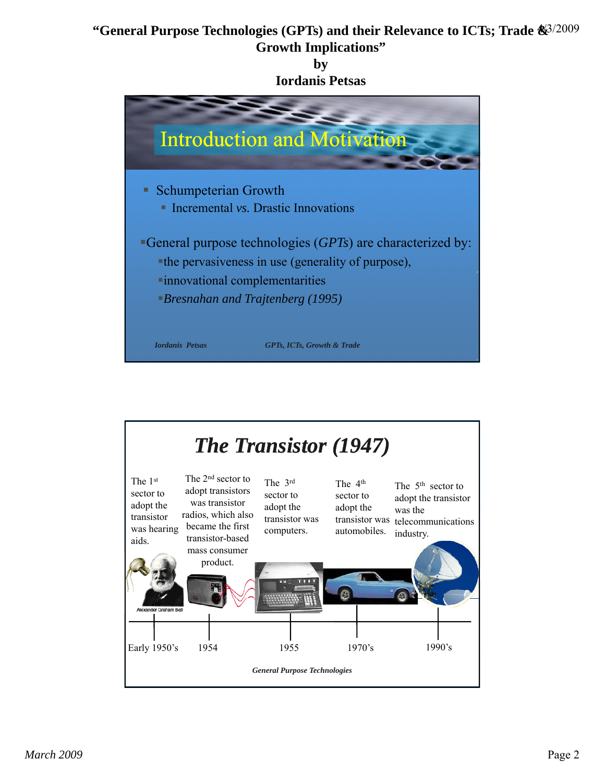

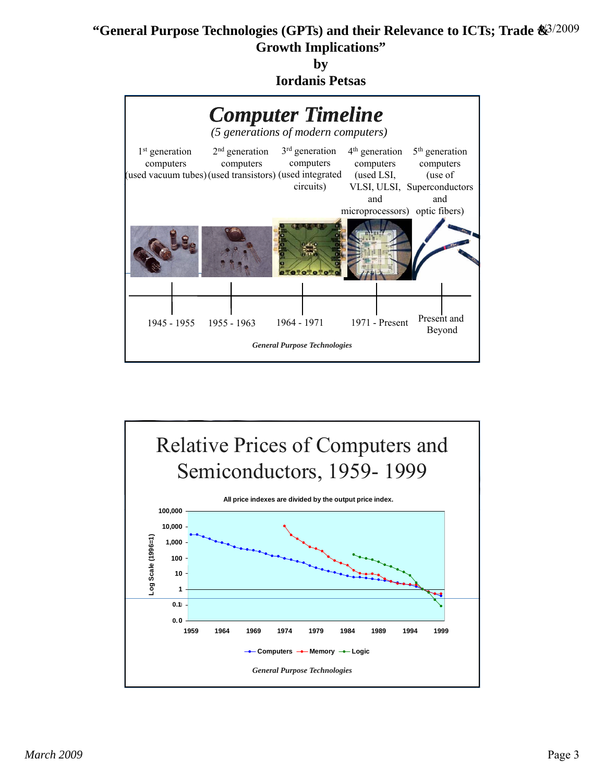**by**



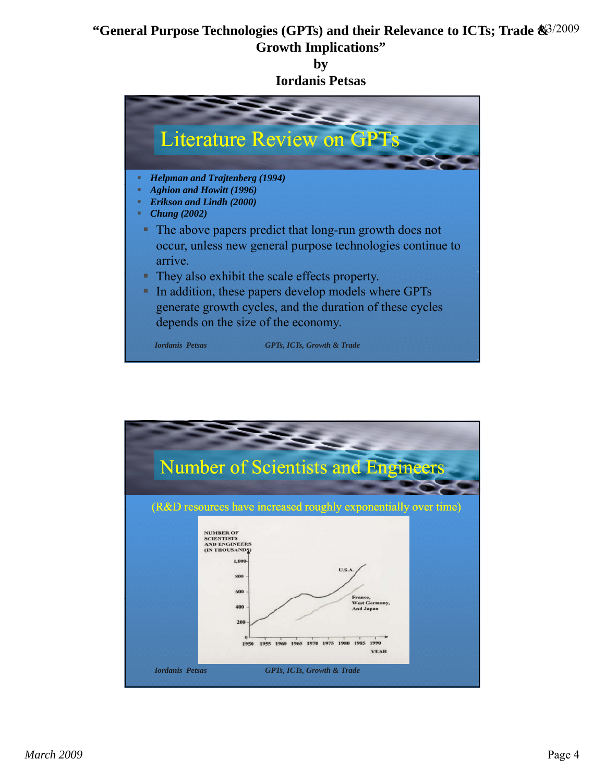**by**



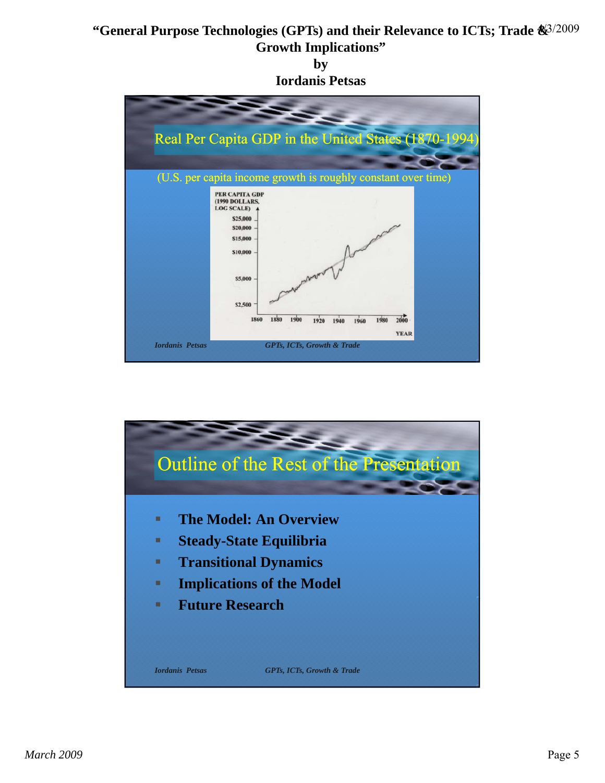

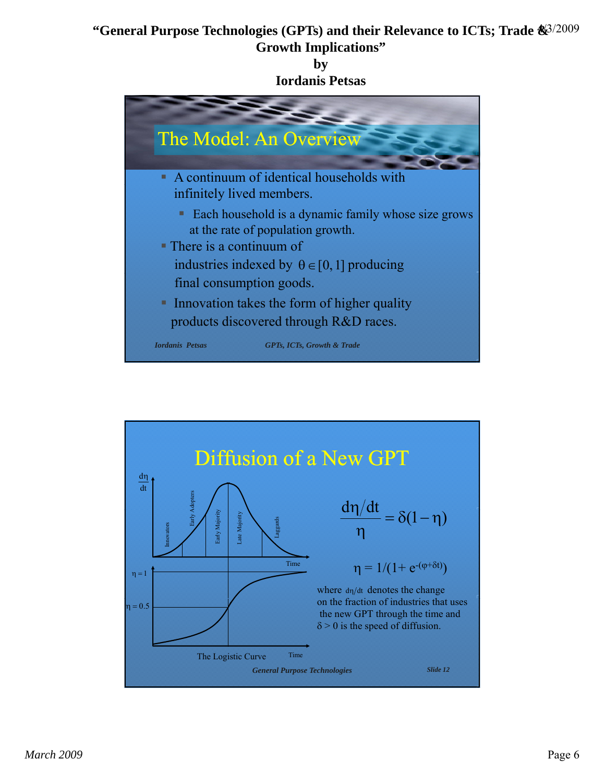**by**



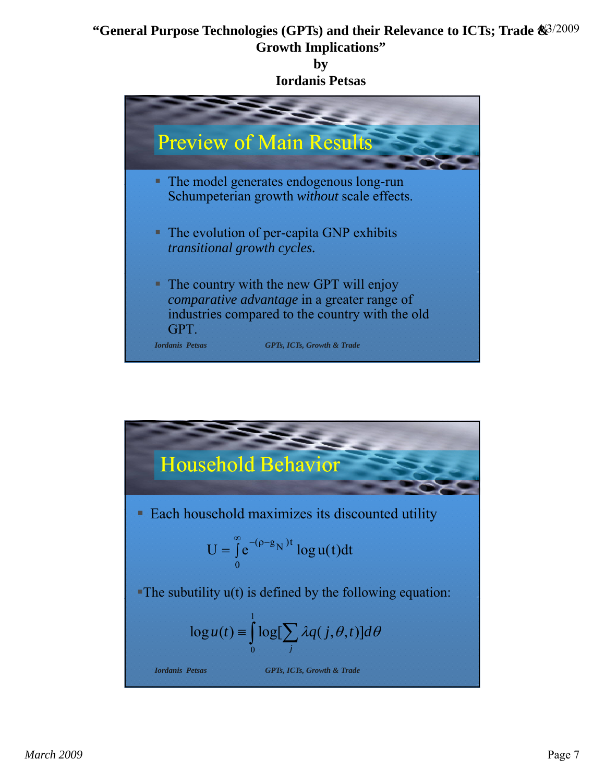**by**



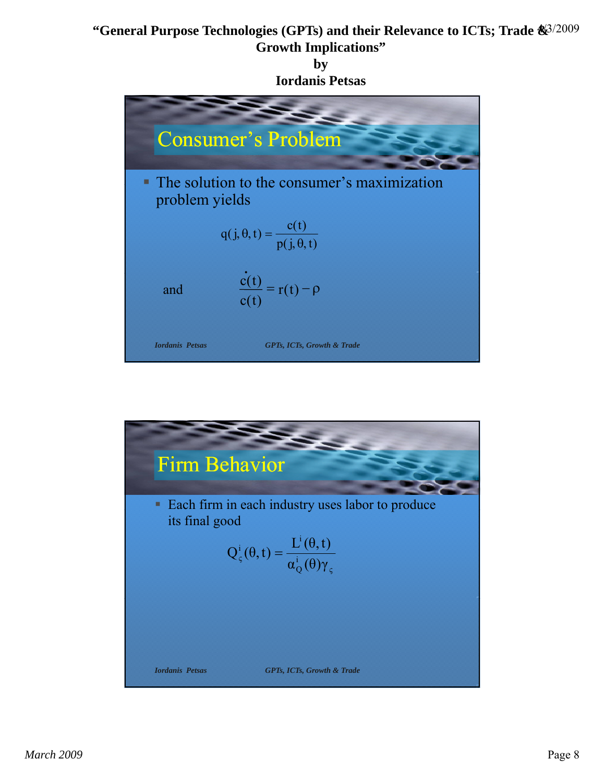**by**



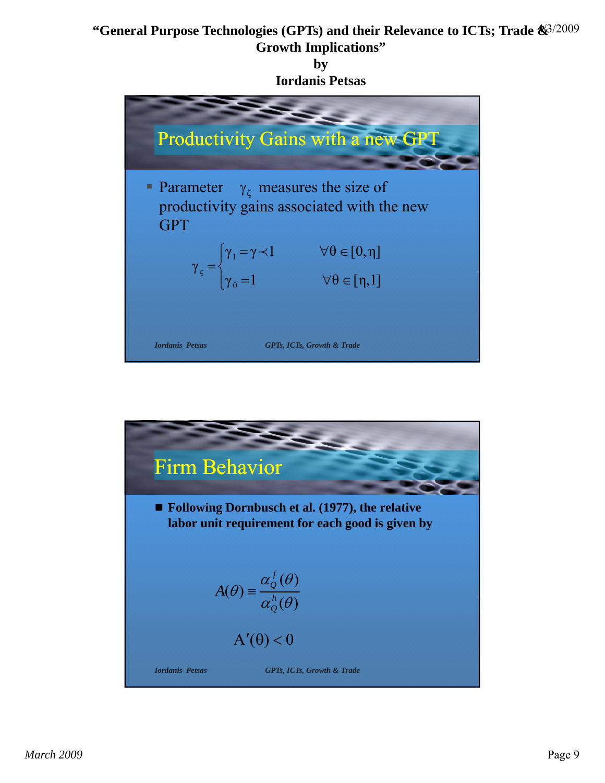

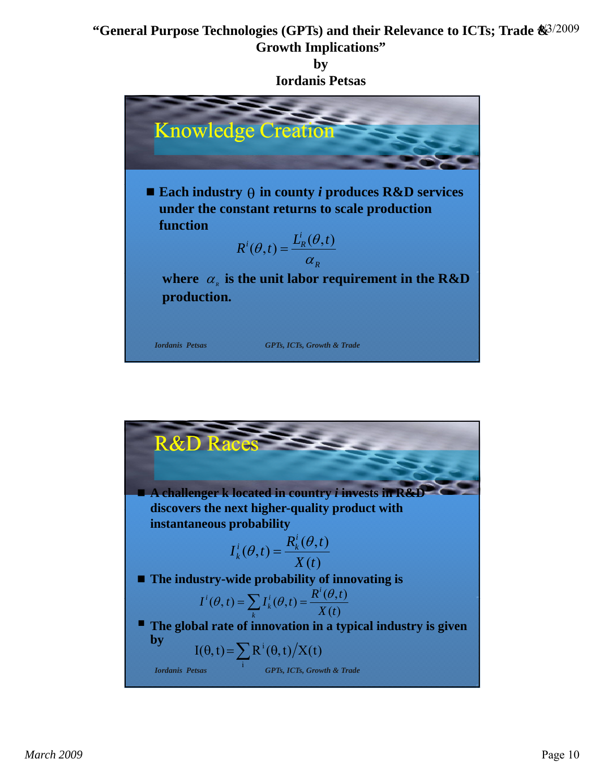**by**



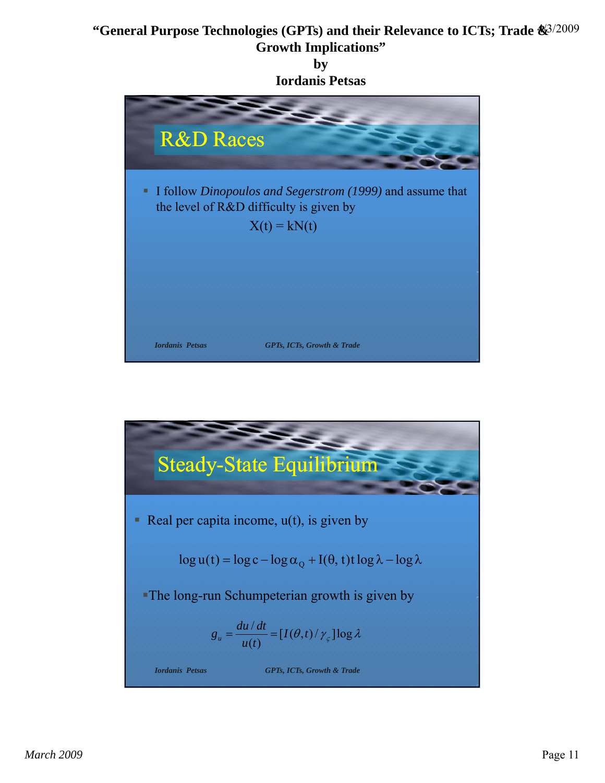

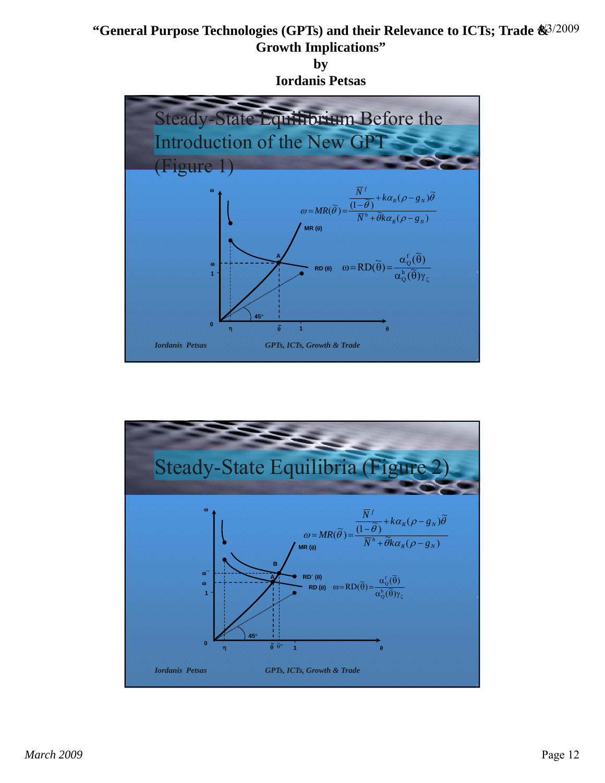

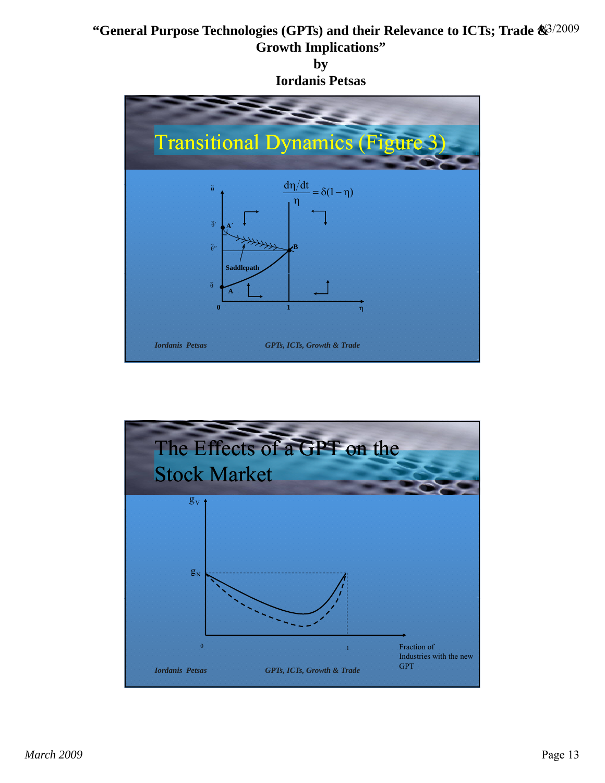

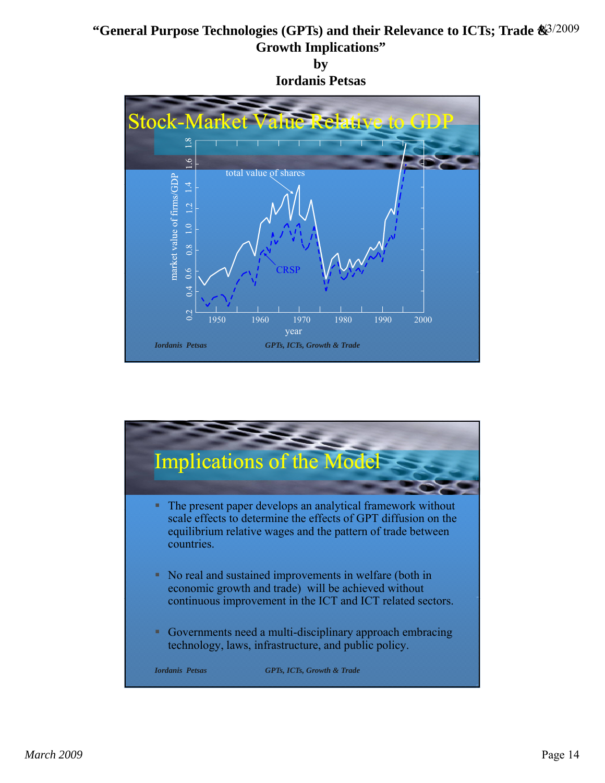